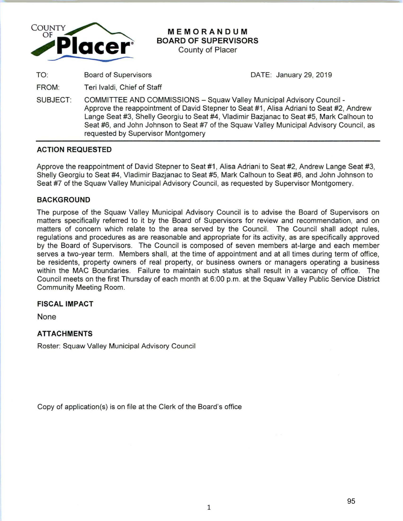

# **MEMORANDUM BOARD OF SUPERVISORS**

County of Placer

TO: Board of Supervisors DATE: January 29, 2019

FROM: Teri lvaldi, Chief of Staff

SUBJECT: COMMITTEE AND COMMISSIONS -Squaw Valley Municipal Advisory Council - Approve the reappointment of David Stepner to Seat #1, Alisa Adriani to Seat #2, Andrew Lange Seat #3, Shelly Georgiu to Seat #4, Vladimir Bazjanac to Seat #5, Mark Calhoun to Seat #6, and John Johnson to Seat #7 of the Squaw Valley Municipal Advisory Council, as requested by Supervisor Montgomery

# **ACTION REQUESTED**

Approve the reappointment of David Stepner to Seat #1, Alisa Adriani to Seat #2, Andrew Lange Seat #3, Shelly Georgiu to Seat #4, Vladimir Bazjanac to Seat #5, Mark Calhoun to Seat #6, and John Johnson to Seat #7 of the Squaw Valley Municipal Advisory Council, as requested by Supervisor Montgomery.

### **BACKGROUND**

The purpose of the Squaw Valley Municipal Advisory Council is to advise the Board of Supervisors on matters specifically referred to it by the Board of Supervisors for review and recommendation, and on matters of concern which relate to the area served by the Council. The Council shall adopt rules, regulations and procedures as are reasonable and appropriate for its activity, as are specifically approved by the Board of Supervisors. The Council is composed of seven members at-large and each member serves a two-year term. Members shall, at the time of appointment and at all times during term of office, be residents, property owners of real property, or business owners or managers operating a business within the MAC Boundaries. Failure to maintain such status shall result in a vacancy of office. The Council meets on the first Thursday of each month at 6:00 p.m. at the Squaw Valley Public Service District Community Meeting Room.

# **FISCAL IMPACT**

None

# **ATTACHMENTS**

Roster: Squaw Valley Municipal Advisory Council

Copy of application(s) is on file at the Clerk of the Board's office